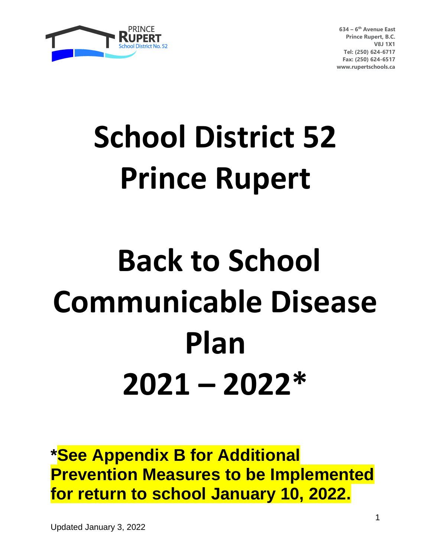

# **School District 52 Prince Rupert**

# **Back to School Communicable Disease Plan 2021 – 2022\***

**\*See Appendix B for Additional Prevention Measures to be Implemented for return to school January 10, 2022.**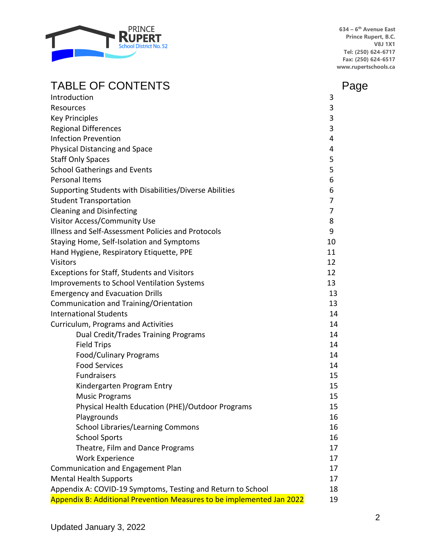

# TABLE OF CONTENTS FABLE OF CONTENTS

| Introduction                                                          | 3        |  |  |
|-----------------------------------------------------------------------|----------|--|--|
| Resources                                                             | 3        |  |  |
| <b>Key Principles</b>                                                 | 3        |  |  |
| <b>Regional Differences</b>                                           | 3        |  |  |
| <b>Infection Prevention</b>                                           | 4        |  |  |
| Physical Distancing and Space                                         | 4        |  |  |
| <b>Staff Only Spaces</b>                                              | 5        |  |  |
| <b>School Gatherings and Events</b>                                   | 5        |  |  |
| <b>Personal Items</b>                                                 | 6        |  |  |
| Supporting Students with Disabilities/Diverse Abilities               | 6        |  |  |
| <b>Student Transportation</b>                                         | 7        |  |  |
| <b>Cleaning and Disinfecting</b>                                      | 7        |  |  |
| Visitor Access/Community Use                                          | 8        |  |  |
| Illness and Self-Assessment Policies and Protocols                    | 9        |  |  |
| Staying Home, Self-Isolation and Symptoms                             | 10       |  |  |
| Hand Hygiene, Respiratory Etiquette, PPE                              | 11       |  |  |
| <b>Visitors</b>                                                       | 12       |  |  |
| Exceptions for Staff, Students and Visitors                           | 12       |  |  |
| <b>Improvements to School Ventilation Systems</b>                     | 13       |  |  |
| <b>Emergency and Evacuation Drills</b>                                | 13       |  |  |
| Communication and Training/Orientation                                | 13       |  |  |
| <b>International Students</b>                                         | 14       |  |  |
| Curriculum, Programs and Activities                                   | 14       |  |  |
| Dual Credit/Trades Training Programs                                  | 14       |  |  |
| <b>Field Trips</b>                                                    | 14       |  |  |
| Food/Culinary Programs                                                | 14       |  |  |
| <b>Food Services</b>                                                  | 14       |  |  |
| <b>Fundraisers</b>                                                    | 15       |  |  |
| Kindergarten Program Entry                                            | 15       |  |  |
| <b>Music Programs</b>                                                 | 15       |  |  |
| Physical Health Education (PHE)/Outdoor Programs                      | 15       |  |  |
| Playgrounds                                                           | 16       |  |  |
| <b>School Libraries/Learning Commons</b>                              | 16       |  |  |
| <b>School Sports</b>                                                  | 16       |  |  |
| Theatre, Film and Dance Programs                                      | 17       |  |  |
| <b>Work Experience</b>                                                | 17       |  |  |
| Communication and Engagement Plan                                     | 17       |  |  |
| <b>Mental Health Supports</b>                                         |          |  |  |
| Appendix A: COVID-19 Symptoms, Testing and Return to School           | 17<br>18 |  |  |
| Appendix B: Additional Prevention Measures to be implemented Jan 2022 | 19       |  |  |
|                                                                       |          |  |  |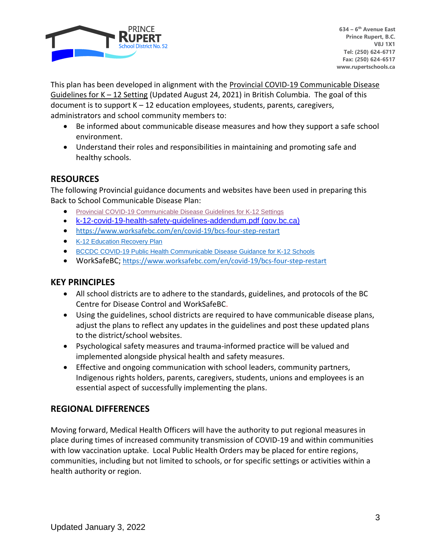

This plan has been developed in alignment with the Provincial COVID-19 Communicable Disease Guidelines for  $K - 12$  Setting (Updated August 24, 2021) in British Columbia. The goal of this document is to support  $K - 12$  education employees, students, parents, caregivers, administrators and school community members to:

- Be informed about communicable disease measures and how they support a safe school environment.
- Understand their roles and responsibilities in maintaining and promoting safe and healthy schools.

# **RESOURCES**

The following Provincial guidance documents and websites have been used in preparing this Back to School Communicable Disease Plan:

- Provincial COVID-19 [Communicable](https://www2.gov.bc.ca/assets/gov/education/administration/kindergarten-to-grade-12/safe-caring-orderly/k-12-covid-19-health-safety-guidlines.pdf) Disease Guidelines for K-12 Settings
- [k-12-covid-19-health-safety-guidelines-addendum.pdf \(gov.bc.ca\)](https://www2.gov.bc.ca/assets/gov/education/administration/kindergarten-to-grade-12/safe-caring-orderly/k-12-covid-19-health-safety-guidelines-addendum.pdf)
- <https://www.worksafebc.com/en/covid-19/bcs-four-step-restart>
- K-12 [Education](https://www2.gov.bc.ca/assets/gov/education/administration/kindergarten-to-grade-12/safe-caring-orderly/k-12-education-recovery-plan.pdf) Recovery Plan
- BCCDC COVID-19 Public Health [Communicable](http://www.bccdc.ca/Health-Info-Site/Documents/COVID_public_guidance/Guidance-k-12-schools.pdf) Disease Guidance for K-12 Schools
- WorkSafeBC; <https://www.worksafebc.com/en/covid-19/bcs-four-step-restart>

# **KEY PRINCIPLES**

- All school districts are to adhere to the standards, guidelines, and protocols of the BC Centre for Disease Control and WorkSafeBC.
- Using the guidelines, school districts are required to have communicable disease plans, adjust the plans to reflect any updates in the guidelines and post these updated plans to the district/school websites.
- Psychological safety measures and trauma-informed practice will be valued and implemented alongside physical health and safety measures.
- Effective and ongoing communication with school leaders, community partners, Indigenous rights holders, parents, caregivers, students, unions and employees is an essential aspect of successfully implementing the plans.

# **REGIONAL DIFFERENCES**

Moving forward, Medical Health Officers will have the authority to put regional measures in place during times of increased community transmission of COVID-19 and within communities with low vaccination uptake. Local Public Health Orders may be placed for entire regions, communities, including but not limited to schools, or for specific settings or activities within a health authority or region.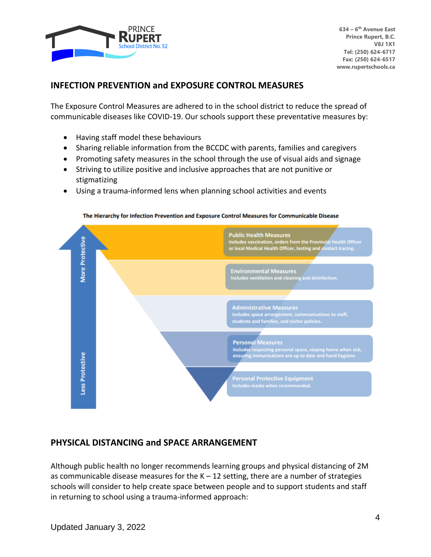

## **INFECTION PREVENTION and EXPOSURE CONTROL MEASURES**

The Exposure Control Measures are adhered to in the school district to reduce the spread of communicable diseases like COVID-19. Our schools support these preventative measures by:

- Having staff model these behaviours
- Sharing reliable information from the BCCDC with parents, families and caregivers
- Promoting safety measures in the school through the use of visual aids and signage
- Striving to utilize positive and inclusive approaches that are not punitive or stigmatizing
- Using a trauma-informed lens when planning school activities and events



The Hierarchy for Infection Prevention and Exposure Control Measures for Communicable Disease

#### **PHYSICAL DISTANCING and SPACE ARRANGEMENT**

Although public health no longer recommends learning groups and physical distancing of 2M as communicable disease measures for the  $K - 12$  setting, there are a number of strategies schools will consider to help create space between people and to support students and staff in returning to school using a trauma-informed approach: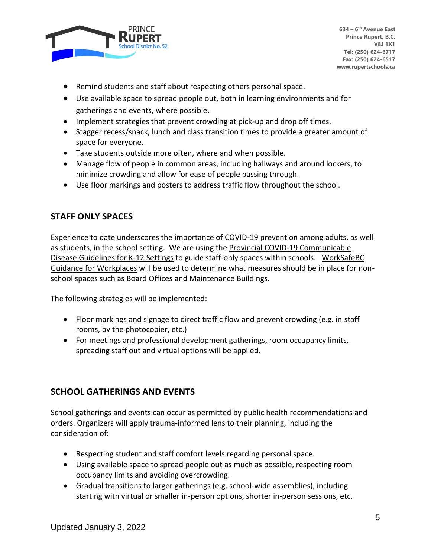

- Remind students and staff about respecting others personal space.
- Use available space to spread people out, both in learning environments and for gatherings and events, where possible.
- Implement strategies that prevent crowding at pick-up and drop off times.
- Stagger recess/snack, lunch and class transition times to provide a greater amount of space for everyone.
- Take students outside more often, where and when possible.
- Manage flow of people in common areas, including hallways and around lockers, to minimize crowding and allow for ease of people passing through.
- Use floor markings and posters to address traffic flow throughout the school.

# **STAFF ONLY SPACES**

Experience to date underscores the importance of COVID-19 prevention among adults, as well as students, in the school setting. We are using the Provincial COVID-19 Communicable Disease Guidelines for K-12 Settings to guide staff-only spaces within schools. WorkSafeBC Guidance for Workplaces will be used to determine what measures should be in place for nonschool spaces such as Board Offices and Maintenance Buildings.

The following strategies will be implemented:

- Floor markings and signage to direct traffic flow and prevent crowding (e.g. in staff rooms, by the photocopier, etc.)
- For meetings and professional development gatherings, room occupancy limits, spreading staff out and virtual options will be applied.

# **SCHOOL GATHERINGS AND EVENTS**

School gatherings and events can occur as permitted by public health recommendations and orders. Organizers will apply trauma-informed lens to their planning, including the consideration of:

- Respecting student and staff comfort levels regarding personal space.
- Using available space to spread people out as much as possible, respecting room occupancy limits and avoiding overcrowding.
- Gradual transitions to larger gatherings (e.g. school-wide assemblies), including starting with virtual or smaller in-person options, shorter in-person sessions, etc.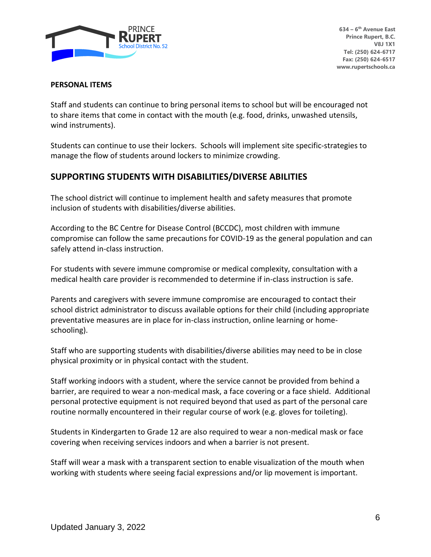

#### **PERSONAL ITEMS**

Staff and students can continue to bring personal items to school but will be encouraged not to share items that come in contact with the mouth (e.g. food, drinks, unwashed utensils, wind instruments).

Students can continue to use their lockers. Schools will implement site specific-strategies to manage the flow of students around lockers to minimize crowding.

# **SUPPORTING STUDENTS WITH DISABILITIES/DIVERSE ABILITIES**

The school district will continue to implement health and safety measures that promote inclusion of students with disabilities/diverse abilities.

According to the BC Centre for Disease Control (BCCDC), most children with immune compromise can follow the same precautions for COVID-19 as the general population and can safely attend in-class instruction.

For students with severe immune compromise or medical complexity, consultation with a medical health care provider is recommended to determine if in-class instruction is safe.

Parents and caregivers with severe immune compromise are encouraged to contact their school district administrator to discuss available options for their child (including appropriate preventative measures are in place for in-class instruction, online learning or homeschooling).

Staff who are supporting students with disabilities/diverse abilities may need to be in close physical proximity or in physical contact with the student.

Staff working indoors with a student, where the service cannot be provided from behind a barrier, are required to wear a non-medical mask, a face covering or a face shield. Additional personal protective equipment is not required beyond that used as part of the personal care routine normally encountered in their regular course of work (e.g. gloves for toileting).

Students in Kindergarten to Grade 12 are also required to wear a non-medical mask or face covering when receiving services indoors and when a barrier is not present.

Staff will wear a mask with a transparent section to enable visualization of the mouth when working with students where seeing facial expressions and/or lip movement is important.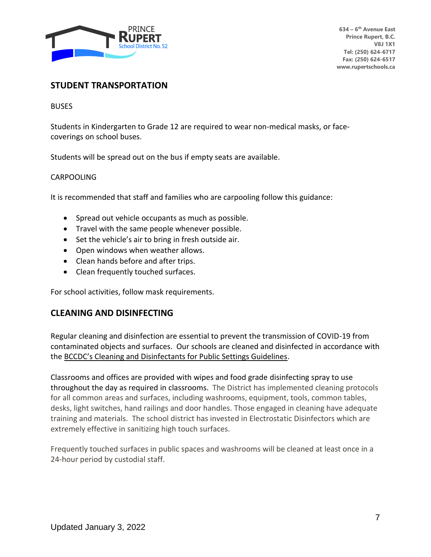

#### **STUDENT TRANSPORTATION**

**BUSES** 

Students in Kindergarten to Grade 12 are required to wear non-medical masks, or facecoverings on school buses.

Students will be spread out on the bus if empty seats are available.

#### CARPOOLING

It is recommended that staff and families who are carpooling follow this guidance:

- Spread out vehicle occupants as much as possible.
- Travel with the same people whenever possible.
- Set the vehicle's air to bring in fresh outside air.
- Open windows when weather allows.
- Clean hands before and after trips.
- Clean frequently touched surfaces.

For school activities, follow mask requirements.

#### **CLEANING AND DISINFECTING**

Regular cleaning and disinfection are essential to prevent the transmission of COVID-19 from contaminated objects and surfaces. Our schools are cleaned and disinfected in accordance with the BCCDC's Cleaning and Disinfectants for Public Settings Guidelines.

Classrooms and offices are provided with wipes and food grade disinfecting spray to use throughout the day as required in classrooms. The District has implemented cleaning protocols for all common areas and surfaces, including washrooms, equipment, tools, common tables, desks, light switches, hand railings and door handles. Those engaged in cleaning have adequate training and materials. The school district has invested in Electrostatic Disinfectors which are extremely effective in sanitizing high touch surfaces.

Frequently touched surfaces in public spaces and washrooms will be cleaned at least once in a 24-hour period by custodial staff.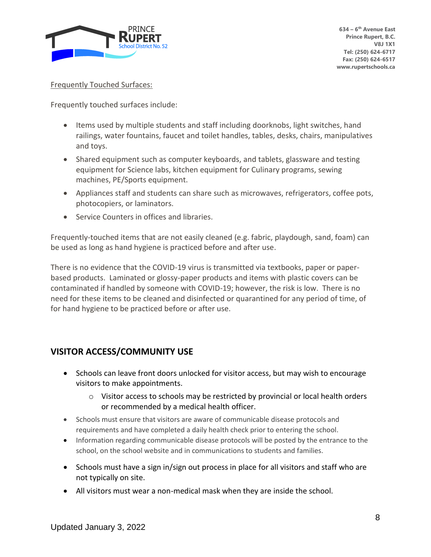

#### Frequently Touched Surfaces:

Frequently touched surfaces include:

- Items used by multiple students and staff including doorknobs, light switches, hand railings, water fountains, faucet and toilet handles, tables, desks, chairs, manipulatives and toys.
- Shared equipment such as computer keyboards, and tablets, glassware and testing equipment for Science labs, kitchen equipment for Culinary programs, sewing machines, PE/Sports equipment.
- Appliances staff and students can share such as microwaves, refrigerators, coffee pots, photocopiers, or laminators.
- Service Counters in offices and libraries.

Frequently-touched items that are not easily cleaned (e.g. fabric, playdough, sand, foam) can be used as long as hand hygiene is practiced before and after use.

There is no evidence that the COVID-19 virus is transmitted via textbooks, paper or paperbased products. Laminated or glossy-paper products and items with plastic covers can be contaminated if handled by someone with COVID-19; however, the risk is low. There is no need for these items to be cleaned and disinfected or quarantined for any period of time, of for hand hygiene to be practiced before or after use.

# **VISITOR ACCESS/COMMUNITY USE**

- Schools can leave front doors unlocked for visitor access, but may wish to encourage visitors to make appointments.
	- $\circ$  Visitor access to schools may be restricted by provincial or local health orders or recommended by a medical health officer.
- Schools must ensure that visitors are aware of communicable disease protocols and requirements and have completed a daily health check prior to entering the school.
- Information regarding communicable disease protocols will be posted by the entrance to the school, on the school website and in communications to students and families.
- Schools must have a sign in/sign out process in place for all visitors and staff who are not typically on site.
- All visitors must wear a non-medical mask when they are inside the school.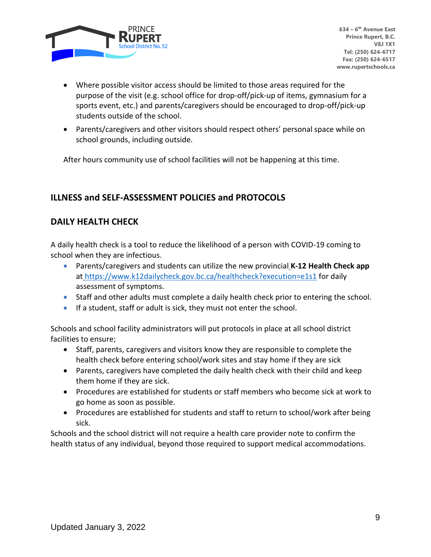

- Where possible visitor access should be limited to those areas required for the purpose of the visit (e.g. school office for drop-off/pick-up of items, gymnasium for a sports event, etc.) and parents/caregivers should be encouraged to drop-off/pick-up students outside of the school.
- Parents/caregivers and other visitors should respect others' personal space while on school grounds, including outside.

After hours community use of school facilities will not be happening at this time.

# **ILLNESS and SELF-ASSESSMENT POLICIES and PROTOCOLS**

# **DAILY HEALTH CHECK**

A daily health check is a tool to reduce the likelihood of a person with COVID-19 coming to school when they are infectious.

- Parents/caregivers and students can utilize the new provincial **K-12 Health Check app** at <https://www.k12dailycheck.gov.bc.ca/healthcheck?execution=e1s1> for daily assessment of symptoms.
- Staff and other adults must complete a daily health check prior to entering the school.
- If a student, staff or adult is sick, they must not enter the school.

Schools and school facility administrators will put protocols in place at all school district facilities to ensure;

- Staff, parents, caregivers and visitors know they are responsible to complete the health check before entering school/work sites and stay home if they are sick
- Parents, caregivers have completed the daily health check with their child and keep them home if they are sick.
- Procedures are established for students or staff members who become sick at work to go home as soon as possible.
- Procedures are established for students and staff to return to school/work after being sick.

Schools and the school district will not require a health care provider note to confirm the health status of any individual, beyond those required to support medical accommodations.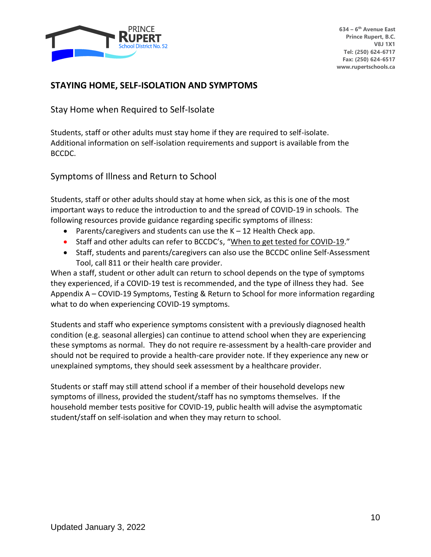

### **STAYING HOME, SELF-ISOLATION AND SYMPTOMS**

Stay Home when Required to Self-Isolate

Students, staff or other adults must stay home if they are required to self-isolate. Additional information on self-isolation requirements and support is available from the BCCDC.

Symptoms of Illness and Return to School

Students, staff or other adults should stay at home when sick, as this is one of the most important ways to reduce the introduction to and the spread of COVID-19 in schools. The following resources provide guidance regarding specific symptoms of illness:

- Parents/caregivers and students can use the K 12 Health Check app.
- Staff and other adults can refer to BCCDC's, "When to get tested for COVID-19."
- Staff, students and parents/caregivers can also use the BCCDC online Self-Assessment Tool, call 811 or their health care provider.

When a staff, student or other adult can return to school depends on the type of symptoms they experienced, if a COVID-19 test is recommended, and the type of illness they had. See Appendix A – COVID-19 Symptoms, Testing & Return to School for more information regarding what to do when experiencing COVID-19 symptoms.

Students and staff who experience symptoms consistent with a previously diagnosed health condition (e.g. seasonal allergies) can continue to attend school when they are experiencing these symptoms as normal. They do not require re-assessment by a health-care provider and should not be required to provide a health-care provider note. If they experience any new or unexplained symptoms, they should seek assessment by a healthcare provider.

Students or staff may still attend school if a member of their household develops new symptoms of illness, provided the student/staff has no symptoms themselves. If the household member tests positive for COVID-19, public health will advise the asymptomatic student/staff on self-isolation and when they may return to school.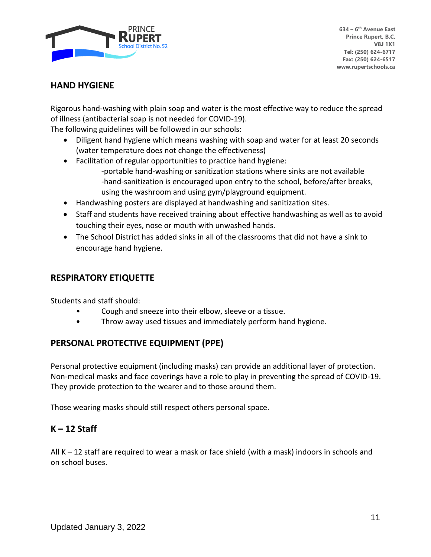

#### **HAND HYGIENE**

Rigorous hand-washing with plain soap and water is the most effective way to reduce the spread of illness (antibacterial soap is not needed for COVID-19).

The following guidelines will be followed in our schools:

- Diligent hand hygiene which means washing with soap and water for at least 20 seconds (water temperature does not change the effectiveness)
- Facilitation of regular opportunities to practice hand hygiene:
	- -portable hand-washing or sanitization stations where sinks are not available -hand-sanitization is encouraged upon entry to the school, before/after breaks, using the washroom and using gym/playground equipment.
- Handwashing posters are displayed at handwashing and sanitization sites.
- Staff and students have received training about effective handwashing as well as to avoid touching their eyes, nose or mouth with unwashed hands.
- The School District has added sinks in all of the classrooms that did not have a sink to encourage hand hygiene.

# **RESPIRATORY ETIQUETTE**

Students and staff should:

- Cough and sneeze into their elbow, sleeve or a tissue.
- Throw away used tissues and immediately perform hand hygiene.

# **PERSONAL PROTECTIVE EQUIPMENT (PPE)**

Personal protective equipment (including masks) can provide an additional layer of protection. Non-medical masks and face coverings have a role to play in preventing the spread of COVID-19. They provide protection to the wearer and to those around them.

Those wearing masks should still respect others personal space.

# **K – 12 Staff**

All K – 12 staff are required to wear a mask or face shield (with a mask) indoors in schools and on school buses.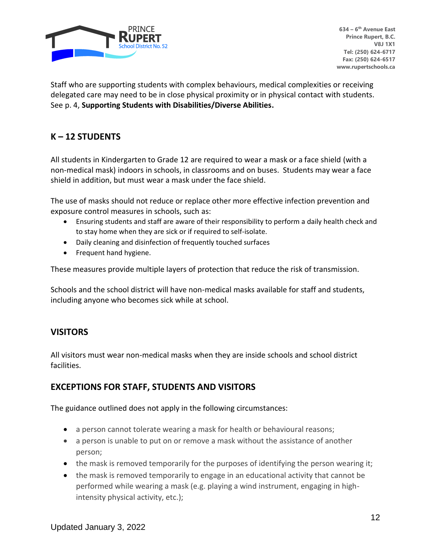

Staff who are supporting students with complex behaviours, medical complexities or receiving delegated care may need to be in close physical proximity or in physical contact with students. See p. 4, **Supporting Students with Disabilities/Diverse Abilities.**

# **K – 12 STUDENTS**

All students in Kindergarten to Grade 12 are required to wear a mask or a face shield (with a non-medical mask) indoors in schools, in classrooms and on buses. Students may wear a face shield in addition, but must wear a mask under the face shield.

The use of masks should not reduce or replace other more effective infection prevention and exposure control measures in schools, such as:

- Ensuring students and staff are aware of their responsibility to perform a daily health check and to stay home when they are sick or if required to self-isolate.
- Daily cleaning and disinfection of frequently touched surfaces
- Frequent hand hygiene.

These measures provide multiple layers of protection that reduce the risk of transmission.

Schools and the school district will have non-medical masks available for staff and students, including anyone who becomes sick while at school.

# **VISITORS**

All visitors must wear non-medical masks when they are inside schools and school district facilities.

# **EXCEPTIONS FOR STAFF, STUDENTS AND VISITORS**

The guidance outlined does not apply in the following circumstances:

- a person cannot tolerate wearing a mask for health or behavioural reasons;
- a person is unable to put on or remove a mask without the assistance of another person;
- the mask is removed temporarily for the purposes of identifying the person wearing it;
- the mask is removed temporarily to engage in an educational activity that cannot be performed while wearing a mask (e.g. playing a wind instrument, engaging in highintensity physical activity, etc.);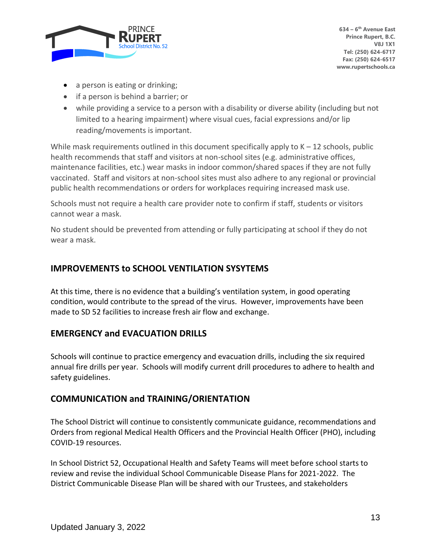

- a person is eating or drinking;
- if a person is behind a barrier; or
- while providing a service to a person with a disability or diverse ability (including but not limited to a hearing impairment) where visual cues, facial expressions and/or lip reading/movements is important.

While mask requirements outlined in this document specifically apply to  $K - 12$  schools, public health recommends that staff and visitors at non-school sites (e.g. administrative offices, maintenance facilities, etc.) wear masks in indoor common/shared spaces if they are not fully vaccinated. Staff and visitors at non-school sites must also adhere to any regional or provincial public health recommendations or orders for workplaces requiring increased mask use.

Schools must not require a health care provider note to confirm if staff, students or visitors cannot wear a mask.

No student should be prevented from attending or fully participating at school if they do not wear a mask.

# **IMPROVEMENTS to SCHOOL VENTILATION SYSYTEMS**

At this time, there is no evidence that a building's ventilation system, in good operating condition, would contribute to the spread of the virus. However, improvements have been made to SD 52 facilities to increase fresh air flow and exchange.

# **EMERGENCY and EVACUATION DRILLS**

Schools will continue to practice emergency and evacuation drills, including the six required annual fire drills per year. Schools will modify current drill procedures to adhere to health and safety guidelines.

# **COMMUNICATION and TRAINING/ORIENTATION**

The School District will continue to consistently communicate guidance, recommendations and Orders from regional Medical Health Officers and the Provincial Health Officer (PHO), including COVID-19 resources.

In School District 52, Occupational Health and Safety Teams will meet before school starts to review and revise the individual School Communicable Disease Plans for 2021-2022. The District Communicable Disease Plan will be shared with our Trustees, and stakeholders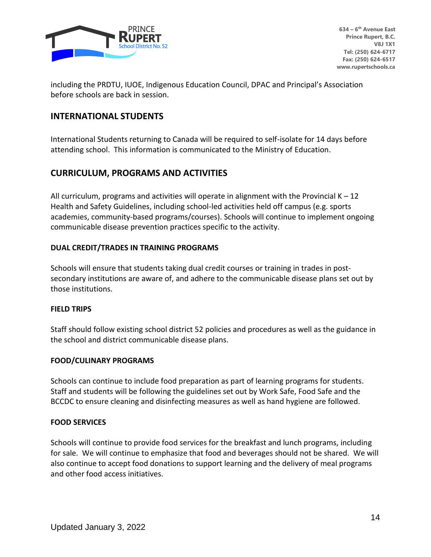

including the PRDTU, IUOE, Indigenous Education Council, DPAC and Principal's Association before schools are back in session.

### **INTERNATIONAL STUDENTS**

International Students returning to Canada will be required to self-isolate for 14 days before attending school. This information is communicated to the Ministry of Education.

# **CURRICULUM, PROGRAMS AND ACTIVITIES**

All curriculum, programs and activities will operate in alignment with the Provincial  $K - 12$ Health and Safety Guidelines, including school-led activities held off campus (e.g. sports academies, community-based programs/courses). Schools will continue to implement ongoing communicable disease prevention practices specific to the activity.

#### **DUAL CREDIT/TRADES IN TRAINING PROGRAMS**

Schools will ensure that students taking dual credit courses or training in trades in postsecondary institutions are aware of, and adhere to the communicable disease plans set out by those institutions.

#### **FIELD TRIPS**

Staff should follow existing school district 52 policies and procedures as well as the guidance in the school and district communicable disease plans.

#### **FOOD/CULINARY PROGRAMS**

Schools can continue to include food preparation as part of learning programs for students. Staff and students will be following the guidelines set out by Work Safe, Food Safe and the BCCDC to ensure cleaning and disinfecting measures as well as hand hygiene are followed.

#### **FOOD SERVICES**

Schools will continue to provide food services for the breakfast and lunch programs, including for sale. We will continue to emphasize that food and beverages should not be shared. We will also continue to accept food donations to support learning and the delivery of meal programs and other food access initiatives.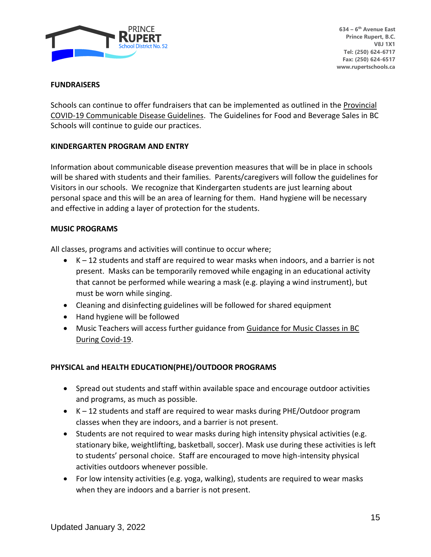

#### **FUNDRAISERS**

Schools can continue to offer fundraisers that can be implemented as outlined in the Provincial COVID-19 Communicable Disease Guidelines. The Guidelines for Food and Beverage Sales in BC Schools will continue to guide our practices.

#### **KINDERGARTEN PROGRAM AND ENTRY**

Information about communicable disease prevention measures that will be in place in schools will be shared with students and their families. Parents/caregivers will follow the guidelines for Visitors in our schools. We recognize that Kindergarten students are just learning about personal space and this will be an area of learning for them. Hand hygiene will be necessary and effective in adding a layer of protection for the students.

#### **MUSIC PROGRAMS**

All classes, programs and activities will continue to occur where;

- $\bullet$  K 12 students and staff are required to wear masks when indoors, and a barrier is not present. Masks can be temporarily removed while engaging in an educational activity that cannot be performed while wearing a mask (e.g. playing a wind instrument), but must be worn while singing.
- Cleaning and disinfecting guidelines will be followed for shared equipment
- Hand hygiene will be followed
- Music Teachers will access further guidance from Guidance for Music Classes in BC During Covid-19.

#### **PHYSICAL and HEALTH EDUCATION(PHE)/OUTDOOR PROGRAMS**

- Spread out students and staff within available space and encourage outdoor activities and programs, as much as possible.
- K 12 students and staff are required to wear masks during PHE/Outdoor program classes when they are indoors, and a barrier is not present.
- Students are not required to wear masks during high intensity physical activities (e.g. stationary bike, weightlifting, basketball, soccer). Mask use during these activities is left to students' personal choice. Staff are encouraged to move high-intensity physical activities outdoors whenever possible.
- For low intensity activities (e.g. yoga, walking), students are required to wear masks when they are indoors and a barrier is not present.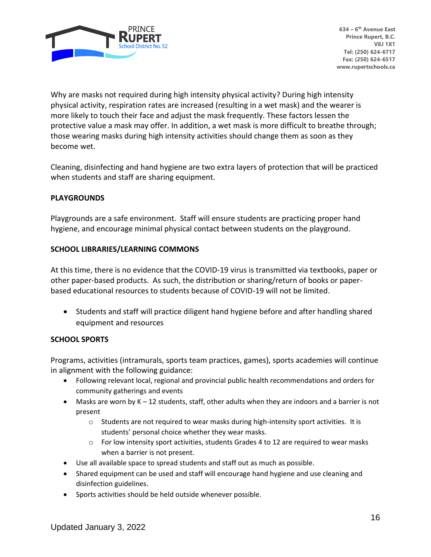

Why are masks not required during high intensity physical activity? During high intensity physical activity, respiration rates are increased (resulting in a wet mask) and the wearer is more likely to touch their face and adjust the mask frequently. These factors lessen the protective value a mask may offer. In addition, a wet mask is more difficult to breathe through; those wearing masks during high intensity activities should change them as soon as they become wet.

Cleaning, disinfecting and hand hygiene are two extra layers of protection that will be practiced when students and staff are sharing equipment.

#### **PLAYGROUNDS**

Playgrounds are a safe environment. Staff will ensure students are practicing proper hand hygiene, and encourage minimal physical contact between students on the playground.

#### **SCHOOL LIBRARIES/LEARNING COMMONS**

At this time, there is no evidence that the COVID-19 virus is transmitted via textbooks, paper or other paper-based products. As such, the distribution or sharing/return of books or paperbased educational resources to students because of COVID-19 will not be limited.

• Students and staff will practice diligent hand hygiene before and after handling shared equipment and resources

#### **SCHOOL SPORTS**

Programs, activities (intramurals, sports team practices, games), sports academies will continue in alignment with the following guidance:

- Following relevant local, regional and provincial public health recommendations and orders for community gatherings and events
- Masks are worn by  $K 12$  students, staff, other adults when they are indoors and a barrier is not present
	- $\circ$  Students are not required to wear masks during high-intensity sport activities. It is students' personal choice whether they wear masks.
	- $\circ$  For low intensity sport activities, students Grades 4 to 12 are required to wear masks when a barrier is not present.
- Use all available space to spread students and staff out as much as possible.
- Shared equipment can be used and staff will encourage hand hygiene and use cleaning and disinfection guidelines.
- Sports activities should be held outside whenever possible.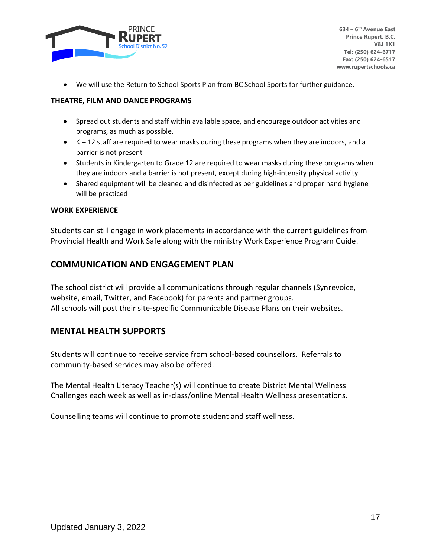

• We will use the Return to School Sports Plan from BC School Sports for further guidance.

#### **THEATRE, FILM AND DANCE PROGRAMS**

- Spread out students and staff within available space, and encourage outdoor activities and programs, as much as possible.
- K 12 staff are required to wear masks during these programs when they are indoors, and a barrier is not present
- Students in Kindergarten to Grade 12 are required to wear masks during these programs when they are indoors and a barrier is not present, except during high-intensity physical activity.
- Shared equipment will be cleaned and disinfected as per guidelines and proper hand hygiene will be practiced

#### **WORK EXPERIENCE**

Students can still engage in work placements in accordance with the current guidelines from Provincial Health and Work Safe along with the ministry Work Experience Program Guide.

### **COMMUNICATION AND ENGAGEMENT PLAN**

The school district will provide all communications through regular channels (Synrevoice, website, email, Twitter, and Facebook) for parents and partner groups. All schools will post their site-specific Communicable Disease Plans on their websites.

#### **MENTAL HEALTH SUPPORTS**

Students will continue to receive service from school-based counsellors. Referrals to community-based services may also be offered.

The Mental Health Literacy Teacher(s) will continue to create District Mental Wellness Challenges each week as well as in-class/online Mental Health Wellness presentations.

Counselling teams will continue to promote student and staff wellness.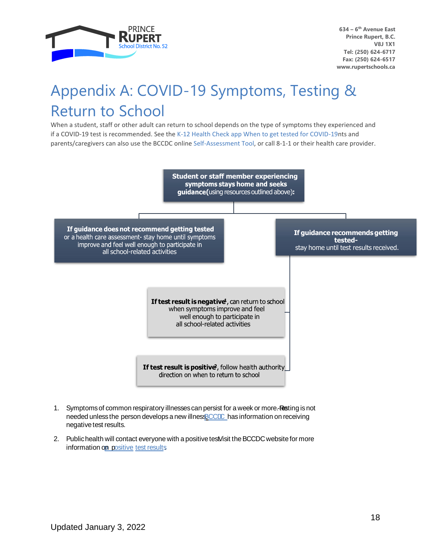

# Appendix A: COVID-19 Symptoms, Testing & Return to School

When a student, staff or other adult can return to school depends on the type of symptoms they experienced and if a COVID-19 test is recommended. See the K-12 Health Check app When to get tested for COVID-19nts and parents/caregivers can also use the BCCDC online Self-Assessment Tool, or call 8-1-1 or their health care provider.



- 1. Symptoms of common respiratory illnesses can persist for a week or more.-Resting is not needed unless the person develops a new illnessBCCDC has information on receiving negative test results.
- 2. Publichealth will contact everyone with a positive test Visit the BCCDC website for more information on positive test [results.](http://www.bccdc.ca/health-info/diseases-conditions/covid-19/testing/understanding-test-results)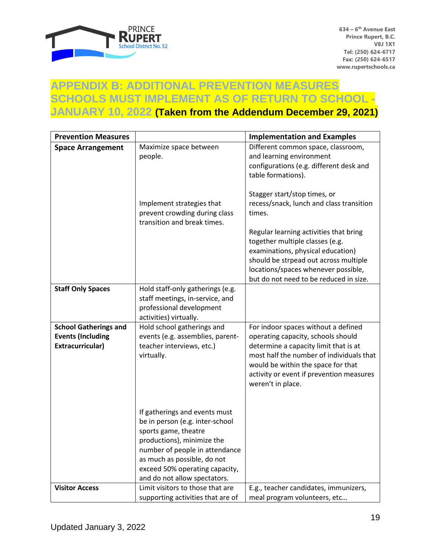

# **APPENDIX B: ADDITIONAL PREVENTION MEASURES SCHOOLS MUST IMPLEMENT AS OF RETURN TO SCHOOL - JANUARY 10, 2022 (Taken from the Addendum December 29, 2021)**

| <b>Prevention Measures</b>   |                                                                                                                                                                                                                                                           | <b>Implementation and Examples</b>                                                                                                                                                                                                                                                   |
|------------------------------|-----------------------------------------------------------------------------------------------------------------------------------------------------------------------------------------------------------------------------------------------------------|--------------------------------------------------------------------------------------------------------------------------------------------------------------------------------------------------------------------------------------------------------------------------------------|
| <b>Space Arrangement</b>     | Maximize space between<br>people.                                                                                                                                                                                                                         | Different common space, classroom,<br>and learning environment<br>configurations (e.g. different desk and<br>table formations).                                                                                                                                                      |
|                              | Implement strategies that<br>prevent crowding during class<br>transition and break times.                                                                                                                                                                 | Stagger start/stop times, or<br>recess/snack, lunch and class transition<br>times.<br>Regular learning activities that bring<br>together multiple classes (e.g.<br>examinations, physical education)<br>should be strpead out across multiple<br>locations/spaces whenever possible, |
|                              |                                                                                                                                                                                                                                                           | but do not need to be reduced in size.                                                                                                                                                                                                                                               |
| <b>Staff Only Spaces</b>     | Hold staff-only gatherings (e.g.<br>staff meetings, in-service, and<br>professional development<br>activities) virtually.                                                                                                                                 |                                                                                                                                                                                                                                                                                      |
| <b>School Gatherings and</b> | Hold school gatherings and                                                                                                                                                                                                                                | For indoor spaces without a defined                                                                                                                                                                                                                                                  |
| <b>Events (Including</b>     | events (e.g. assemblies, parent-                                                                                                                                                                                                                          | operating capacity, schools should                                                                                                                                                                                                                                                   |
| Extracurricular)             | teacher interviews, etc.)<br>virtually.                                                                                                                                                                                                                   | determine a capacity limit that is at<br>most half the number of individuals that<br>would be within the space for that<br>activity or event if prevention measures<br>weren't in place.                                                                                             |
|                              | If gatherings and events must<br>be in person (e.g. inter-school<br>sports game, theatre<br>productions), minimize the<br>number of people in attendance<br>as much as possible, do not<br>exceed 50% operating capacity,<br>and do not allow spectators. |                                                                                                                                                                                                                                                                                      |
| <b>Visitor Access</b>        | Limit visitors to those that are<br>supporting activities that are of                                                                                                                                                                                     | E.g., teacher candidates, immunizers,<br>meal program volunteers, etc                                                                                                                                                                                                                |